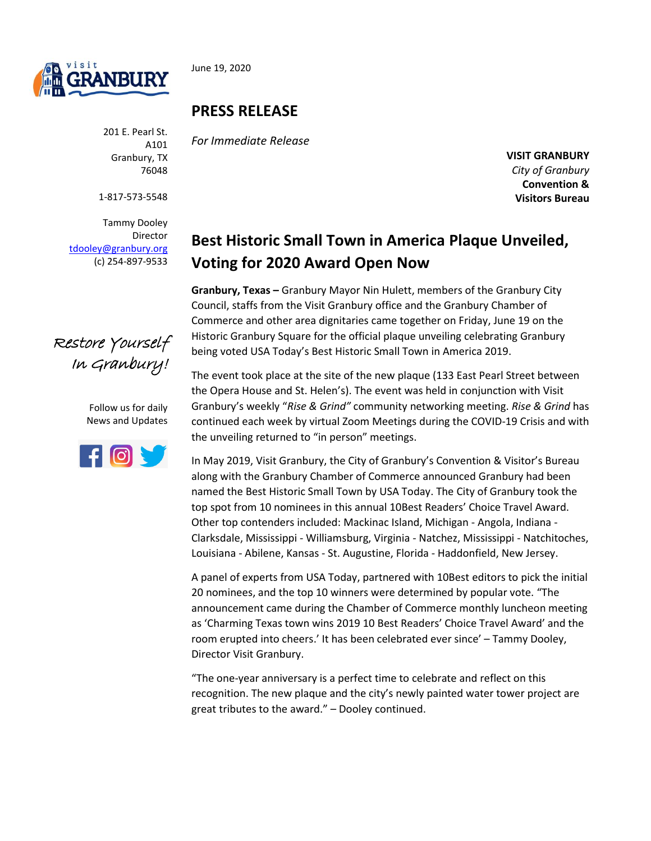

June 19, 2020

201 E. Pearl St. A101 Granbury, TX 76048

1-817-573-5548

Tammy Dooley Director [tdooley@granbury.org](mailto:tdooley@granbury.org) (c) 254-897-9533

## **PRESS RELEASE**

*For Immediate Release*

**VISIT GRANBURY** *City of Granbury*  **Convention & Visitors Bureau**

## **Best Historic Small Town in America Plaque Unveiled, Voting for 2020 Award Open Now**

**Granbury, Texas –** Granbury Mayor Nin Hulett, members of the Granbury City Council, staffs from the Visit Granbury office and the Granbury Chamber of Commerce and other area dignitaries came together on Friday, June 19 on the Historic Granbury Square for the official plaque unveiling celebrating Granbury being voted USA Today's Best Historic Small Town in America 2019.

The event took place at the site of the new plaque (133 East Pearl Street between the Opera House and St. Helen's). The event was held in conjunction with Visit Granbury's weekly "*Rise & Grind"* community networking meeting. *Rise & Grind* has continued each week by virtual Zoom Meetings during the COVID-19 Crisis and with the unveiling returned to "in person" meetings.

In May 2019, Visit Granbury, the City of Granbury's Convention & Visitor's Bureau along with the Granbury Chamber of Commerce announced Granbury had been named the Best Historic Small Town by USA Today. The City of Granbury took the top spot from 10 nominees in this annual 10Best Readers' Choice Travel Award. Other top contenders included: Mackinac Island, Michigan - Angola, Indiana - Clarksdale, Mississippi - Williamsburg, Virginia - Natchez, Mississippi - Natchitoches, Louisiana - Abilene, Kansas - St. Augustine, Florida - Haddonfield, New Jersey.

A panel of experts from USA Today, partnered with 10Best editors to pick the initial 20 nominees, and the top 10 winners were determined by popular vote. "The announcement came during the Chamber of Commerce monthly luncheon meeting as 'Charming Texas town wins 2019 10 Best Readers' Choice Travel Award' and the room erupted into cheers.' It has been celebrated ever since' – Tammy Dooley, Director Visit Granbury.

"The one-year anniversary is a perfect time to celebrate and reflect on this recognition. The new plaque and the city's newly painted water tower project are great tributes to the award." – Dooley continued.



Follow us for daily News and Updates